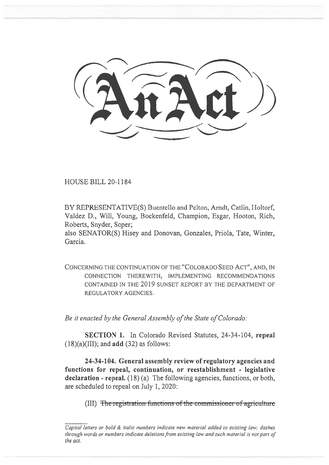(AnAct)

HOUSE BILL 20-1184

BY REPRESENTATIVE(S) Buentello and Pelton, Arndt, Catlin, Holtorf, Valdez D., Will, Young, Bockenfeld, Champion, Esgar, Hooton, Rich, Roberts, Snyder, Soper;

also SENATOR(S) Hisey and Donovan, Gonzales, Priola, Tate, Winter, Garcia.

CONCERNING THE CONTINUATION OF THE "COLORADO SEED ACT", AND, IN CONNECTION THEREWITH, IMPLEMENTING RECOMMENDATIONS CONTAINED IN THE 2019 SUNSET REPORT BY THE DEPARTMENT OF REGULATORY AGENCIES.

*Be it enacted by the General Assembly of the State of Colorado:* 

**SECTION 1.** In Colorado Revised Statutes, 24-34-104, **repeal**  (18)(a)(III); and **add** (32) as follows:

**24-34-104. General assembly review of regulatory agencies and functions for repeal, continuation, or reestablishment - legislative declaration - repeal.** (18) (a) The following agencies, functions, or both, are scheduled to repeal on July 1, 2020:

(III) The registration functions of the commissioner of agriculture

*Capital letters or bold & italic numbers indicate new material added to existing law; dashes through words or numbers indicate deletions from existing law and such material is not part of the act.*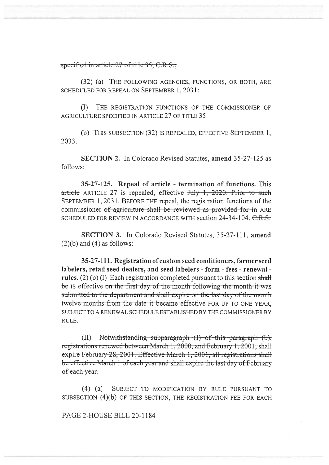## specified in article 27 of title 35, C.R.S.;

(32) (a) THE FOLLOWING AGENCIES, FUNCTIONS, OR BOTH, ARE SCHEDULED FOR REPEAL ON SEPTEMBER 1, 2031:

THE REGISTRATION FUNCTIONS OF THE COMMISSIONER OF  $(I)$ AGRICULTURE SPECIFIED IN ARTICLE 27 OF TITLE 35.

(b) THIS SUBSECTION (32) IS REPEALED, EFFECTIVE SEPTEMBER 1, 2033.

**SECTION 2.** In Colorado Revised Statutes, amend 35-27-125 as follows:

35-27-125. Repeal of article - termination of functions. This article ARTICLE 27 is repealed, effective July 1, 2020. Prior to such SEPTEMBER 1, 2031. BEFORE THE repeal, the registration functions of the commissioner of agriculture shall be reviewed as provided for in ARE SCHEDULED FOR REVIEW IN ACCORDANCE WITH section 24-34-104. C.R.S.

SECTION 3. In Colorado Revised Statutes, 35-27-111, amend  $(2)(b)$  and  $(4)$  as follows:

35-27-111. Registration of custom seed conditioners, farmer seed labelers, retail seed dealers, and seed labelers - form - fees - renewal rules.  $(2)$  (b) (I) Each registration completed pursuant to this section shall be IS effective on the first day of the month following the month it was submitted to the department and shall expire on the last day of the month twelve months from the date it became effective FOR UP TO ONE YEAR. SUBJECT TO A RENEWAL SCHEDULE ESTABLISHED BY THE COMMISSIONER BY RULE.

Notwithstanding subparagraph (I) of this paragraph (b),  $(II)$ registrations renewed between March 1, 2000, and February 1, 2001, shall expire February 28, 2001. Effective March 1; 2001, all registrations shall be effective March 1 of each year and shall expire the last day of February of each year.

 $(4)$  (a) SUBJECT TO MODIFICATION BY RULE PURSUANT TO SUBSECTION (4)(b) OF THIS SECTION, THE REGISTRATION FEE FOR EACH

PAGE 2-HOUSE BILL 20-1184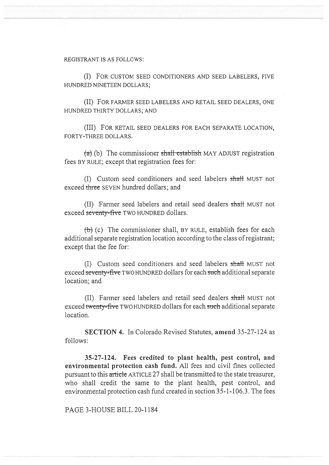## REGISTRANT IS AS FOLLOWS:

(I) FOR CUSTOM SEED CONDITIONERS AND SEED LABELERS, FIVE HUNDRED NINETEEN DOLLARS;

(II) FOR FARMER SEED LABELERS AND RETAIL SEED DEALERS, ONE HUNDRED THIRTY DOLLARS; AND

(III) FOR RETAIL SEED DEALERS FOR EACH SEPARATE LOCATION, FORTY-THREE DOLLARS.

 $(a)$  (b) The commissioner shall establish MAY ADJUST registration fees BY RULE; except that registration fees for:

(I) Custom seed conditioners and seed labelers shall MUST not exceed three SEVEN hundred dollars; and

(II) Farmer seed labelers and retail seed dealers shall MUST not exceed seventy-five TWO HUNDRED dollars.

(b) (c) The commissioner shall, BY RULE, establish fees for each additional separate registration location according to the class of registrant; except that the fee for:

(I) Custom seed conditioners and seed labelers shall MUST not exceed seventy-five TWO HUNDRED dollars for each such additional separate location; and

(II) Farmer seed labelers and retail seed dealers shall MUST not exceed twenty-five TWO HUNDRED dollars for each such additional separate location.

SECTION 4. In Colorado Revised Statutes, amend 35-27-124 as follows:

35-27-124. Fees credited to plant health, pest control, and environmental protection cash fund. All fees and civil fines collected pursuant to this article ARTICLE 27 shall be transmitted to the state treasurer, who shall credit the same to the plant health, pest control, and environmental protection cash fund created in section 35-1-106.3. The fees

PAGE 3-HOUSE BILL 20-1184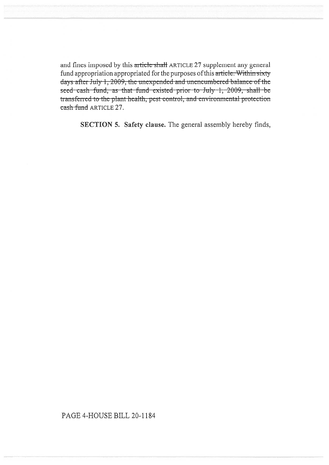and fines imposed by this article shall ARTICLE 27 supplement any general fund appropriation appropriated for the purposes of this article. Within sixty days after July 1, 2009, the unexpended and unencumbered balance of the seed cash fund, as that fund existed prior to July 1, 2009, shall be transferred to the plant health, pest control, and environmental protection cash fund ARTICLE 27.

SECTION 5. Safety clause. The general assembly hereby finds,

## PAGE 4-HOUSE BILL 20-1184